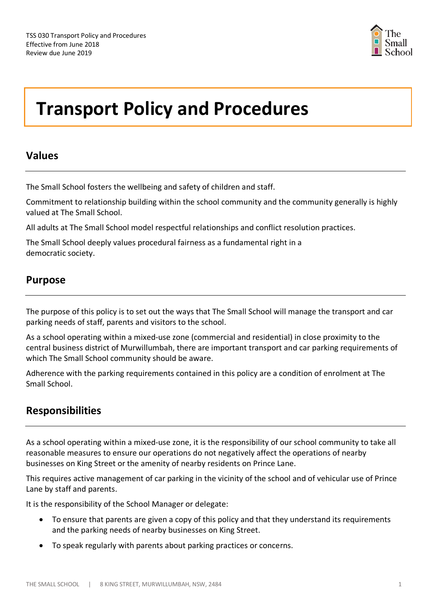

# **Transport Policy and Procedures**

## **Values**

The Small School fosters the wellbeing and safety of children and staff.

Commitment to relationship building within the school community and the community generally is highly valued at The Small School.

All adults at The Small School model respectful relationships and conflict resolution practices.

The Small School deeply values procedural fairness as a fundamental right in a democratic society.

# **Purpose**

The purpose of this policy is to set out the ways that The Small School will manage the transport and car parking needs of staff, parents and visitors to the school.

As a school operating within a mixed-use zone (commercial and residential) in close proximity to the central business district of Murwillumbah, there are important transport and car parking requirements of which The Small School community should be aware.

Adherence with the parking requirements contained in this policy are a condition of enrolment at The Small School.

# **Responsibilities**

As a school operating within a mixed-use zone, it is the responsibility of our school community to take all reasonable measures to ensure our operations do not negatively affect the operations of nearby businesses on King Street or the amenity of nearby residents on Prince Lane.

This requires active management of car parking in the vicinity of the school and of vehicular use of Prince Lane by staff and parents.

It is the responsibility of the School Manager or delegate:

- To ensure that parents are given a copy of this policy and that they understand its requirements and the parking needs of nearby businesses on King Street.
- To speak regularly with parents about parking practices or concerns.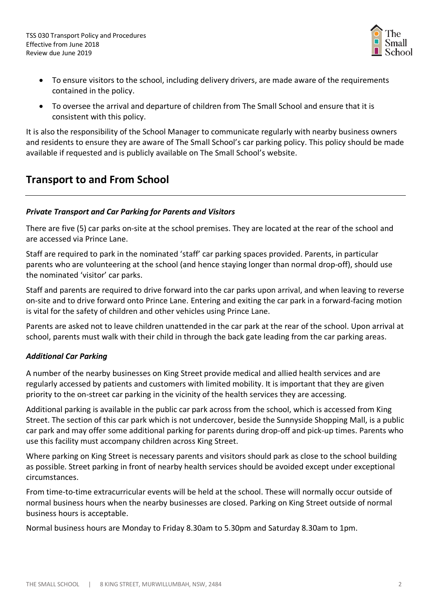

- To ensure visitors to the school, including delivery drivers, are made aware of the requirements contained in the policy.
- To oversee the arrival and departure of children from The Small School and ensure that it is consistent with this policy.

It is also the responsibility of the School Manager to communicate regularly with nearby business owners and residents to ensure they are aware of The Small School's car parking policy. This policy should be made available if requested and is publicly available on The Small School's website.

## **Transport to and From School**

#### *Private Transport and Car Parking for Parents and Visitors*

There are five (5) car parks on-site at the school premises. They are located at the rear of the school and are accessed via Prince Lane.

Staff are required to park in the nominated 'staff' car parking spaces provided. Parents, in particular parents who are volunteering at the school (and hence staying longer than normal drop-off), should use the nominated 'visitor' car parks.

Staff and parents are required to drive forward into the car parks upon arrival, and when leaving to reverse on-site and to drive forward onto Prince Lane. Entering and exiting the car park in a forward-facing motion is vital for the safety of children and other vehicles using Prince Lane.

Parents are asked not to leave children unattended in the car park at the rear of the school. Upon arrival at school, parents must walk with their child in through the back gate leading from the car parking areas.

#### *Additional Car Parking*

A number of the nearby businesses on King Street provide medical and allied health services and are regularly accessed by patients and customers with limited mobility. It is important that they are given priority to the on-street car parking in the vicinity of the health services they are accessing.

Additional parking is available in the public car park across from the school, which is accessed from King Street. The section of this car park which is not undercover, beside the Sunnyside Shopping Mall, is a public car park and may offer some additional parking for parents during drop-off and pick-up times. Parents who use this facility must accompany children across King Street.

Where parking on King Street is necessary parents and visitors should park as close to the school building as possible. Street parking in front of nearby health services should be avoided except under exceptional circumstances.

From time-to-time extracurricular events will be held at the school. These will normally occur outside of normal business hours when the nearby businesses are closed. Parking on King Street outside of normal business hours is acceptable.

Normal business hours are Monday to Friday 8.30am to 5.30pm and Saturday 8.30am to 1pm.